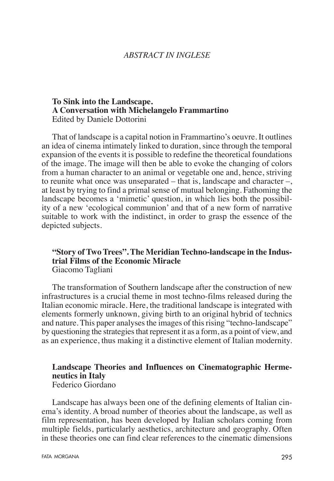#### *ABSTRACT IN INGLESE*

#### **To Sink into the Landscape. A Conversation with Michelangelo Frammartino** Edited by Daniele Dottorini

That of landscape is a capital notion in Frammartino's oeuvre. It outlines an idea of cinema intimately linked to duration, since through the temporal expansion of the events it is possible to redefine the theoretical foundations of the image. The image will then be able to evoke the changing of colors from a human character to an animal or vegetable one and, hence, striving to reunite what once was unseparated – that is, landscape and character –, at least by trying to find a primal sense of mutual belonging. Fathoming the landscape becomes a 'mimetic' question, in which lies both the possibility of a new 'ecological communion' and that of a new form of narrative suitable to work with the indistinct, in order to grasp the essence of the depicted subjects.

#### **"Story of Two Trees". The Meridian Techno-landscape in the Industrial Films of the Economic Miracle** Giacomo Tagliani

The transformation of Southern landscape after the construction of new infrastructures is a crucial theme in most techno-films released during the Italian economic miracle. Here, the traditional landscape is integrated with elements formerly unknown, giving birth to an original hybrid of technics and nature. This paper analyses the images of this rising "techno-landscape" by questioning the strategies that represent it as a form, as a point of view, and as an experience, thus making it a distinctive element of Italian modernity.

#### **Landscape Theories and Influences on Cinematographic Hermeneutics in Italy** Federico Giordano

Landscape has always been one of the defining elements of Italian cinema's identity. A broad number of theories about the landscape, as well as film representation, has been developed by Italian scholars coming from multiple fields, particularly aesthetics, architecture and geography. Often in these theories one can find clear references to the cinematic dimensions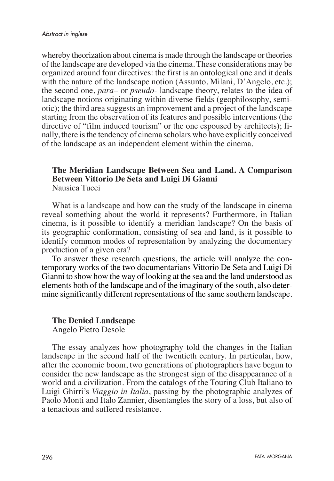whereby theorization about cinema is made through the landscape or theories of the landscape are developed via the cinema. These considerations may be organized around four directives: the first is an ontological one and it deals with the nature of the landscape notion (Assunto, Milani, D'Angelo, etc.); the second one, *para–* or *pseudo-* landscape theory, relates to the idea of landscape notions originating within diverse fields (geophilosophy, semiotic); the third area suggests an improvement and a project of the landscape starting from the observation of its features and possible interventions (the directive of "film induced tourism" or the one espoused by architects); finally, there is the tendency of cinema scholars who have explicitly conceived of the landscape as an independent element within the cinema.

#### **The Meridian Landscape Between Sea and Land. A Comparison Between Vittorio De Seta and Luigi Di Gianni** Nausica Tucci

What is a landscape and how can the study of the landscape in cinema reveal something about the world it represents? Furthermore, in Italian cinema, is it possible to identify a meridian landscape? On the basis of its geographic conformation, consisting of sea and land, is it possible to identify common modes of representation by analyzing the documentary production of a given era?

To answer these research questions, the article will analyze the contemporary works of the two documentarians Vittorio De Seta and Luigi Di Gianni to show how the way of looking at the sea and the land understood as elements both of the landscape and of the imaginary of the south, also determine significantly different representations of the same southern landscape.

#### **The Denied Landscape**

Angelo Pietro Desole

The essay analyzes how photography told the changes in the Italian landscape in the second half of the twentieth century. In particular, how, after the economic boom, two generations of photographers have begun to consider the new landscape as the strongest sign of the disappearance of a world and a civilization. From the catalogs of the Touring Club Italiano to Luigi Ghirri's *Viaggio in Italia*, passing by the photographic analyzes of Paolo Monti and Italo Zannier, disentangles the story of a loss, but also of a tenacious and suffered resistance.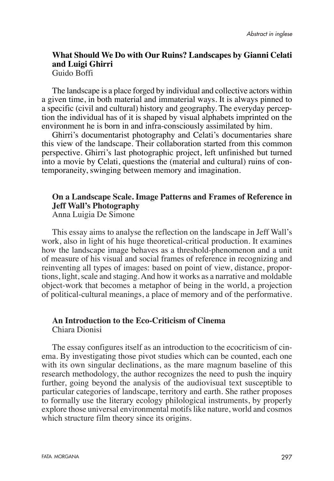# **What Should We Do with Our Ruins? Landscapes by Gianni Celati and Luigi Ghirri**

Guido Boffi

The landscape is a place forged by individual and collective actors within a given time, in both material and immaterial ways. It is always pinned to a specific (civil and cultural) history and geography. The everyday perception the individual has of it is shaped by visual alphabets imprinted on the environment he is born in and infra-consciously assimilated by him.

Ghirri's documentarist photography and Celati's documentaries share this view of the landscape. Their collaboration started from this common perspective. Ghirri's last photographic project, left unfinished but turned into a movie by Celati, questions the (material and cultural) ruins of contemporaneity, swinging between memory and imagination.

## **On a Landscape Scale. Image Patterns and Frames of Reference in Jeff Wall's Photography**

Anna Luigia De Simone

This essay aims to analyse the reflection on the landscape in Jeff Wall's work, also in light of his huge theoretical-critical production. It examines how the landscape image behaves as a threshold-phenomenon and a unit of measure of his visual and social frames of reference in recognizing and reinventing all types of images: based on point of view, distance, proportions, light, scale and staging. And how it works as a narrative and moldable object-work that becomes a metaphor of being in the world, a projection of political-cultural meanings, a place of memory and of the performative.

#### **An Introduction to the Eco-Criticism of Cinema** Chiara Dionisi

The essay configures itself as an introduction to the ecocriticism of cinema. By investigating those pivot studies which can be counted, each one with its own singular declinations, as the mare magnum baseline of this research methodology, the author recognizes the need to push the inquiry further, going beyond the analysis of the audiovisual text susceptible to particular categories of landscape, territory and earth. She rather proposes to formally use the literary ecology philological instruments, by properly explore those universal environmental motifs like nature, world and cosmos which structure film theory since its origins.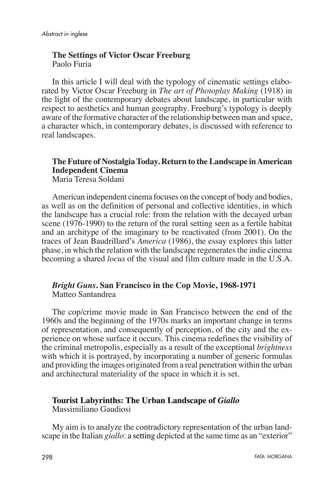## **The Settings of Victor Oscar Freeburg** Paolo Furia

In this article I will deal with the typology of cinematic settings elaborated by Victor Oscar Freeburg in *The art of Photoplay Making* (1918) in the light of the contemporary debates about landscape, in particular with respect to aesthetics and human geography. Freeburg's typology is deeply aware of the formative character of the relationship between man and space, a character which, in contemporary debates, is discussed with reference to real landscapes.

# **The Future of Nostalgia Today. Return to the Landscape in American Independent Cinema**

Maria Teresa Soldani

American independent cinema focuses on the concept of body and bodies, as well as on the definition of personal and collective identities, in which the landscape has a crucial role: from the relation with the decayed urban scene (1976-1990) to the return of the rural setting seen as a fertile habitat and an architype of the imaginary to be reactivated (from 2001). On the traces of Jean Baudrillard's *America* (1986), the essay explores this latter phase, in which the relation with the landscape regenerates the indie cinema becoming a shared *locus* of the visual and film culture made in the U.S.A.

#### *Bright Guns***. San Francisco in the Cop Movie, 1968-1971** Matteo Santandrea

The cop/crime movie made in San Francisco between the end of the 1960s and the beginning of the 1970s marks an important change in terms of representation, and consequently of perception, of the city and the experience on whose surface it occurs. This cinema redefines the visibility of the criminal metropolis, especially as a result of the exceptional *brightness* with which it is portrayed, by incorporating a number of generic formulas and providing the images originated from a real penetration within the urban and architectural materiality of the space in which it is set.

## **Tourist Labyrinths: The Urban Landscape of** *Giallo*

Massimiliano Gaudiosi

My aim is to analyze the contradictory representation of the urban landscape in the Italian *giallo*: a setting depicted at the same time as an "exterior"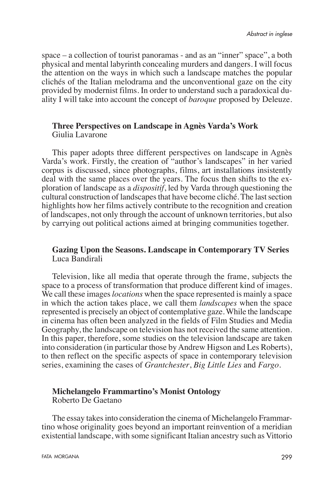space – a collection of tourist panoramas - and as an "inner" space", a both physical and mental labyrinth concealing murders and dangers. I will focus the attention on the ways in which such a landscape matches the popular clichés of the Italian melodrama and the unconventional gaze on the city provided by modernist films. In order to understand such a paradoxical duality I will take into account the concept of *baroque* proposed by Deleuze.

### **Three Perspectives on Landscape in Agnès Varda's Work** Giulia Lavarone

This paper adopts three different perspectives on landscape in Agnès Varda's work. Firstly, the creation of "author's landscapes" in her varied corpus is discussed, since photographs, films, art installations insistently deal with the same places over the years. The focus then shifts to the exploration of landscape as a *dispositif*, led by Varda through questioning the cultural construction of landscapes that have become cliché. The last section highlights how her films actively contribute to the recognition and creation of landscapes, not only through the account of unknown territories, but also by carrying out political actions aimed at bringing communities together.

## **Gazing Upon the Seasons. Landscape in Contemporary TV Series** Luca Bandirali

Television, like all media that operate through the frame, subjects the space to a process of transformation that produce different kind of images. We call these images *locations* when the space represented is mainly a space in which the action takes place, we call them *landscapes* when the space represented is precisely an object of contemplative gaze. While the landscape in cinema has often been analyzed in the fields of Film Studies and Media Geography, the landscape on television has not received the same attention. In this paper, therefore, some studies on the television landscape are taken into consideration (in particular those by Andrew Higson and Les Roberts), to then reflect on the specific aspects of space in contemporary television series, examining the cases of *Grantchester*, *Big Little Lies* and *Fargo*.

#### **Michelangelo Frammartino's Monist Ontology** Roberto De Gaetano

The essay takes into consideration the cinema of Michelangelo Frammartino whose originality goes beyond an important reinvention of a meridian existential landscape, with some significant Italian ancestry such as Vittorio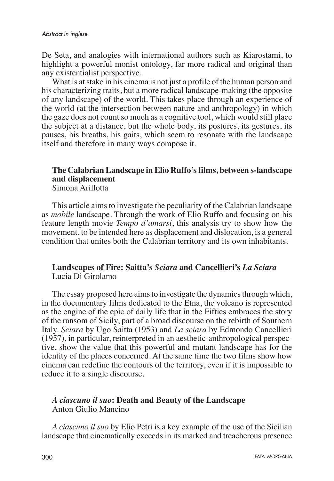De Seta, and analogies with international authors such as Kiarostami, to highlight a powerful monist ontology, far more radical and original than any existentialist perspective.

What is at stake in his cinema is not just a profile of the human person and his characterizing traits, but a more radical landscape-making (the opposite of any landscape) of the world. This takes place through an experience of the world (at the intersection between nature and anthropology) in which the gaze does not count so much as a cognitive tool, which would still place the subject at a distance, but the whole body, its postures, its gestures, its pauses, his breaths, his gaits, which seem to resonate with the landscape itself and therefore in many ways compose it.

# **The Calabrian Landscape in Elio Ruffo's films, between s-landscape and displacement**

Simona Arillotta

This article aims to investigate the peculiarity of the Calabrian landscape as *mobile* landscape. Through the work of Elio Ruffo and focusing on his feature length movie *Tempo d'amarsi*, this analysis try to show how the movement, to be intended here as displacement and dislocation, is a general condition that unites both the Calabrian territory and its own inhabitants.

## **Landscapes of Fire: Saitta's** *Sciara* **and Cancellieri's** *La Sciara* Lucia Di Girolamo

The essay proposed here aims to investigate the dynamics through which, in the documentary films dedicated to the Etna, the volcano is represented as the engine of the epic of daily life that in the Fifties embraces the story of the ransom of Sicily, part of a broad discourse on the rebirth of Southern Italy. *Sciara* by Ugo Saitta (1953) and *La sciara* by Edmondo Cancellieri (1957), in particular, reinterpreted in an aesthetic-anthropological perspective, show the value that this powerful and mutant landscape has for the identity of the places concerned. At the same time the two films show how cinema can redefine the contours of the territory, even if it is impossible to reduce it to a single discourse.

## *A ciascuno il suo***: Death and Beauty of the Landscape** Anton Giulio Mancino

*A ciascuno il suo* by Elio Petri is a key example of the use of the Sicilian landscape that cinematically exceeds in its marked and treacherous presence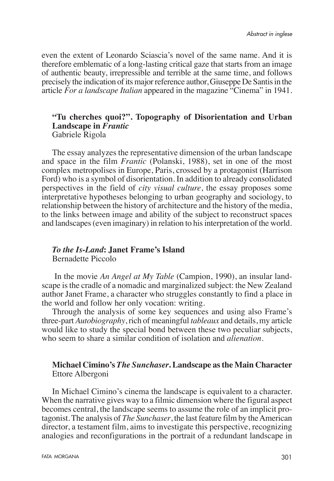even the extent of Leonardo Sciascia's novel of the same name. And it is therefore emblematic of a long-lasting critical gaze that starts from an image of authentic beauty, irrepressible and terrible at the same time, and follows precisely the indication of its major reference author, Giuseppe De Santis in the article *For a landscape Italian* appeared in the magazine "Cinema" in 1941.

#### **"Tu cherches quoi?". Topography of Disorientation and Urban Landscape in** *Frantic* Gabriele Rigola

The essay analyzes the representative dimension of the urban landscape and space in the film *Frantic* (Polanski, 1988), set in one of the most complex metropolises in Europe, Paris, crossed by a protagonist (Harrison Ford) who is a symbol of disorientation. In addition to already consolidated perspectives in the field of *city visual culture*, the essay proposes some interpretative hypotheses belonging to urban geography and sociology, to relationship between the history of architecture and the history of the media, to the links between image and ability of the subject to reconstruct spaces and landscapes (even imaginary) in relation to his interpretation of the world.

# *To the Is-Land***: Janet Frame's Island**

Bernadette Piccolo

 In the movie *An Angel at My Table* (Campion, 1990), an insular landscape is the cradle of a nomadic and marginalized subject: the New Zealand author Janet Frame, a character who struggles constantly to find a place in the world and follow her only vocation: writing.

Through the analysis of some key sequences and using also Frame's three-part *Autobiography*, rich of meaningful *tableaux* and details, my article would like to study the special bond between these two peculiar subjects, who seem to share a similar condition of isolation and *alienation*.

**Michael Cimino's** *The Sunchaser***. Landscape as the Main Character** Ettore Albergoni

In Michael Cimino's cinema the landscape is equivalent to a character. When the narrative gives way to a filmic dimension where the figural aspect becomes central, the landscape seems to assume the role of an implicit protagonist. The analysis of *The Sunchaser*, the last feature film by the American director, a testament film, aims to investigate this perspective, recognizing analogies and reconfigurations in the portrait of a redundant landscape in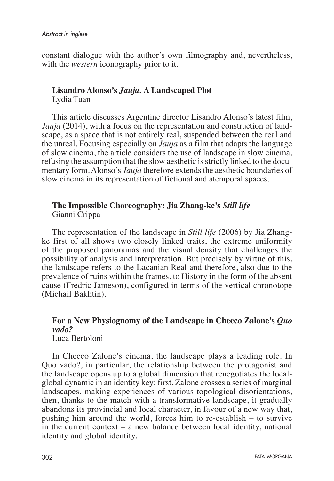constant dialogue with the author's own filmography and, nevertheless, with the *western* iconography prior to it.

# **Lisandro Alonso's** *Jauja.* **A Landscaped Plot**

Lydia Tuan

This article discusses Argentine director Lisandro Alonso's latest film, *Jauja* (2014), with a focus on the representation and construction of landscape, as a space that is not entirely real, suspended between the real and the unreal. Focusing especially on *Jauja* as a film that adapts the language of slow cinema, the article considers the use of landscape in slow cinema, refusing the assumption that the slow aesthetic is strictly linked to the documentary form. Alonso's *Jauja* therefore extends the aesthetic boundaries of slow cinema in its representation of fictional and atemporal spaces.

## **The Impossible Choreography: Jia Zhang-ke's** *Still life* Gianni Crippa

The representation of the landscape in *Still life* (2006) by Jia Zhangke first of all shows two closely linked traits, the extreme uniformity of the proposed panoramas and the visual density that challenges the possibility of analysis and interpretation. But precisely by virtue of this, the landscape refers to the Lacanian Real and therefore, also due to the prevalence of ruins within the frames, to History in the form of the absent cause (Fredric Jameson), configured in terms of the vertical chronotope (Michail Bakhtin).

#### **For a New Physiognomy of the Landscape in Checco Zalone's** *Quo vado?* Luca Bertoloni

In Checco Zalone's cinema, the landscape plays a leading role. In Quo vado?, in particular, the relationship between the protagonist and the landscape opens up to a global dimension that renegotiates the localglobal dynamic in an identity key: first, Zalone crosses a series of marginal landscapes, making experiences of various topological disorientations, then, thanks to the match with a transformative landscape, it gradually abandons its provincial and local character, in favour of a new way that, pushing him around the world, forces him to re-establish – to survive in the current context – a new balance between local identity, national identity and global identity.